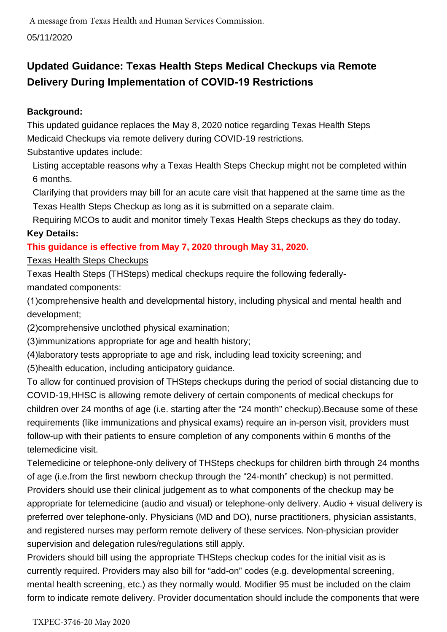# **Updated Guidance: Texas Health Steps Medical Checkups via Remote Delivery During Implementation of COVID-19 Restrictions**

## **Background:**

This updated guidance replaces the May 8, 2020 notice regarding Texas Health Steps Medicaid Checkups via remote delivery during COVID-19 restrictions.

Substantive updates include:

Listing acceptable reasons why a Texas Health Steps Checkup might not be completed within 6 months.

Clarifying that providers may bill for an acute care visit that happened at the same time as the Texas Health Steps Checkup as long as it is submitted on a separate claim.

Requiring MCOs to audit and monitor timely Texas Health Steps checkups as they do today. **Key Details:** 

# **This guidance is effective from May 7, 2020 through May 31, 2020.**

## Texas Health Steps Checkups

Texas Health Steps (THSteps) medical checkups require the following federally-

mandated components:

(1)comprehensive health and developmental history, including physical and mental health and development;

(2)comprehensive unclothed physical examination;

(3)immunizations appropriate for age and health history;

(4)laboratory tests appropriate to age and risk, including lead toxicity screening; and

(5)health education, including anticipatory guidance.

To allow for continued provision of THSteps checkups during the period of social distancing due to COVID-19,HHSC is allowing remote delivery of certain components of medical checkups for children over 24 months of age (i.e. starting after the "24 month" checkup).Because some of these requirements (like immunizations and physical exams) require an in-person visit, providers must follow-up with their patients to ensure completion of any components within 6 months of the telemedicine visit.

Telemedicine or telephone-only delivery of THSteps checkups for children birth through 24 months of age (i.e.from the first newborn checkup through the "24-month" checkup) is not permitted. Providers should use their clinical judgement as to what components of the checkup may be appropriate for telemedicine (audio and visual) or telephone-only delivery. Audio + visual delivery is preferred over telephone-only. Physicians (MD and DO), nurse practitioners, physician assistants, and registered nurses may perform remote delivery of these services. Non-physician provider supervision and delegation rules/regulations still apply.

Providers should bill using the appropriate THSteps checkup codes for the initial visit as is currently required. Providers may also bill for "add-on" codes (e.g. developmental screening, mental health screening, etc.) as they normally would. Modifier 95 must be included on the claim form to indicate remote delivery. Provider documentation should include the components that were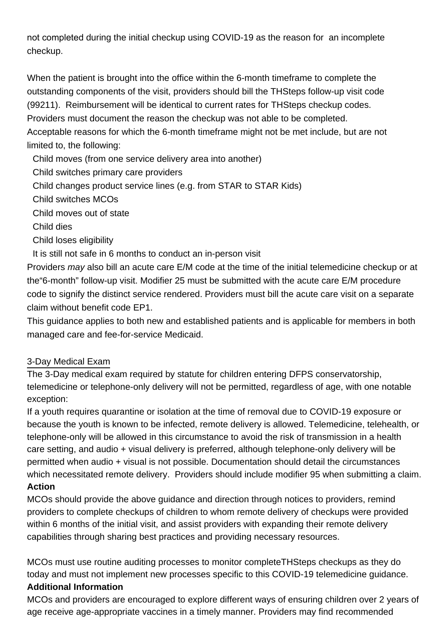not completed during the initial checkup using COVID-19 as the reason for an incomplete checkup.

When the patient is brought into the office within the 6-month timeframe to complete the outstanding components of the visit, providers should bill the THSteps follow-up visit code (99211). Reimbursement will be identical to current rates for THSteps checkup codes. Providers must document the reason the checkup was not able to be completed. Acceptable reasons for which the 6-month timeframe might not be met include, but are not limited to, the following:

Child moves (from one service delivery area into another)

Child switches primary care providers

Child changes product service lines (e.g. from STAR to STAR Kids)

Child switches MCOs

Child moves out of state

Child dies

Child loses eligibility

It is still not safe in 6 months to conduct an in-person visit

Providers may also bill an acute care E/M code at the time of the initial telemedicine checkup or at the"6-month" follow-up visit. Modifier 25 must be submitted with the acute care E/M procedure code to signify the distinct service rendered. Providers must bill the acute care visit on a separate claim without benefit code EP1.

This guidance applies to both new and established patients and is applicable for members in both managed care and fee-for-service Medicaid.

#### 3-Day Medical Exam

The 3-Day medical exam required by statute for children entering DFPS conservatorship, telemedicine or telephone-only delivery will not be permitted, regardless of age, with one notable exception:

If a youth requires quarantine or isolation at the time of removal due to COVID-19 exposure or because the youth is known to be infected, remote delivery is allowed. Telemedicine, telehealth, or telephone-only will be allowed in this circumstance to avoid the risk of transmission in a health care setting, and audio + visual delivery is preferred, although telephone-only delivery will be permitted when audio + visual is not possible. Documentation should detail the circumstances which necessitated remote delivery. Providers should include modifier 95 when submitting a claim. **Action**

MCOs should provide the above guidance and direction through notices to providers, remind providers to complete checkups of children to whom remote delivery of checkups were provided within 6 months of the initial visit, and assist providers with expanding their remote delivery capabilities through sharing best practices and providing necessary resources.

MCOs must use routine auditing processes to monitor completeTHSteps checkups as they do today and must not implement new processes specific to this COVID-19 telemedicine guidance. **Additional Information**

MCOs and providers are encouraged to explore different ways of ensuring children over 2 years of age receive age-appropriate vaccines in a timely manner. Providers may find recommended